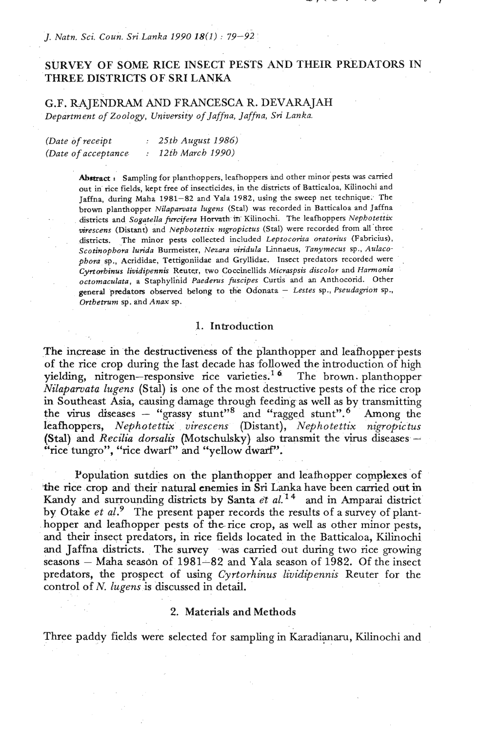# SURVEY OF SOME RICE INSECT PESTS AND THEIR PREDATORS IN THREE DISTRICTS OF SRI **LANK4**

G.F. RAJENDRAM AND FRANCESCA R. DEVARAJAH *Department of Zoology, Uvivemity of Jaffna, Jaffna,* **Sri** *Lanka.* 

| (Date of receipt    | : 25th August 1986) |
|---------------------|---------------------|
| (Date of acceptance | 12th March 1990)    |

Abstract **:** Sampling for planthoppers, leafhoppers and other minor pests was carried out in rice fields, kept free of insecticides, in the districts of Batticaloa, Kilinochi and Jaffna, during Maha **1981-82** and Yala **1982,** using the sweep net technique. The brown planthopper *Nilapawata Iugens* (Stal) **was** recorded in Batticaloa and Jaffna districts and *Sog~tella firreifera* **Horvath in-** Kilinochi. The leafhoppers *Nepbotettix mrescens* (Distant) and *Nepbotettix nrgropicnts* (Stal) were recorded from all 'three dismcts. The minor pests collected included *Leptocorisa oratonus* (Fabricius), *Scotinopbora lurida* Burmeister, *Nauru viridula* Linnaeus, *Tanymecus* sp., *Aulacopbora* sp., Acrididae, Tettigoniidae and Gryllidae. Insect predators recorded were *Cyrtorbinus lividipennis* Rcuter, two Coccinellids *Micraspsis discolor* and *Harmonia octomaculata,* a Staphylinid *Paederus fuscipes* Curds and *an* Anthocorid. Other general predators observed belong to the Odonata - Lestes sp., *Pseudagrion* sp., *Ortbetrum* sp. and *Anax* sp.

#### 1. Introduction

The increase in the destructiveness of the planthopper and leafhopper pests of the rice crop during the Iast decade has followed the introduction of high yielding, nitrogen-responsive rice varieties.<sup>16</sup> The brown planthopper *Nilaparoata lugens* (Stal) is one of the most destructive pests of the rice crop in Southeast Asia, causing damage through feeding **as** well **as** by transmitting in Southeast Asia, causing damage through feeding as well as by transmitting the virus diseases  $-$  "grassy stunt". Among the  $\frac{1}{2}$ leafhoppers, *Nephotettix virescens* (Distant), *Nephote ttix nigropictus*  leafhoppers, *Nephotettix virescens* (Distant), *Nephotettix nigropictus*<br>(Stal) and *Recilia dorsalis* (Motschulsky) also transmit the virus diseases – "rice tungro", "rice dwarf" and "yellow dwarf".

Population sutdies on the planthopper and leafhopper complexes of **%5e** rice crop and their natural enemies in **Sri** Lanka have been carried **out** in Kandy and surrounding districts by Santa *et aL14* and in Amparai district by Otake *et al.*<sup>9</sup> The present paper records the results of a survey of planthopper and leafhopper pests of **the.rice** crop, **as** well **as** other minor pests, and their insect predators, in rice fields located in the Batticaloa, Kilinochi and Jaffna districts. The survey was carried out during two rice growing seasons – Maha season of 1981–82 and Yala season of 1982. Of the insect predators, the prospect of using *Cyrtorhinus lividipennis* Reuter for the control of N. *lugens* is discussed in detail.

#### 2. Materials and Methods

Three paddy fields were selected for sampling in Karadianaru, Kilinochi and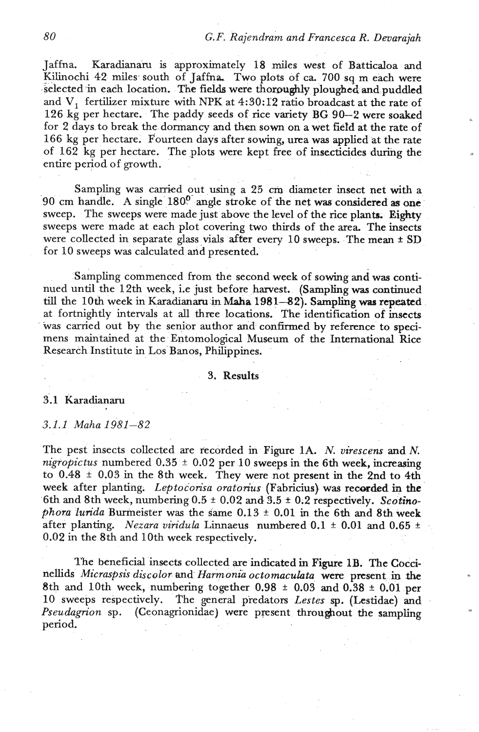Jaffna Karadianaru is approximately 18 miles west of Batticaloa and Kilinochi 42 miles south of Jaffna. Two plots of ca. 700 sq m each were selected in each location. The fields were thoroughly ploughed and puddled and V<sub>1</sub> fertilizer mixture with NPK at 4:30:12 ratio broadcast at the rate of 126 kg per hectare. The paddy seeds of rice variety BG 90--2 were soaked for 2 days to break the dormancy and then sown on a wet field at the rate of 166 kg per hectare. Fourteen days after sowing, urea was applied at the rate of 162 kg per hectare. The plots were kept free of insecticides during the entire period of growth.

Sampling was carried out using a 25 cm diameter insect net with a 90 cm handle. A single 180'- angle stroke of the net **was** considered **as** one sweep. The sweeps were made just above the level of the rice plants. Eighty sweeps were made at each plot covering two thirds of the area. The insects were collected in separate glass vials after every 10 sweeps. The mean ± SD for 10 sweeps was calculated and presented.

Sampling commenced from the second week of sowing and was continued until the 12th week, i.e just before harvest. **(Sampling was** continued till the 10th week in Karadianaru in **Maha** 1981--82). **Sampling was repeated**  at fortnightly intervals at **all** three locations. The identification of insects was carried out by the senior author and confirmed by reference to specimens maintained at the Entomological Museum of the International Rice Research Institute in Los'Banos, Philippines.

#### 3. Results

## 3.1 Karadianaru

## 3.1.1 Maha 1981-82

The pest insects collected are recorded in Figure 1A. *N. virescens* and *N. nigropictus* numbered  $0.35 \pm 0.02$  per 10 sweeps in the 6th week, increasing to  $0.48 \pm 0.03$  in the 8th week. They were not present in the 2nd to 4th week after planting. *Leptocorisa oratorius* (Fabricius) was recorded in the 6th **and** 8th week, numbering 0.5 **2** 0.02 and 3.5 + 0.2 respectively. *Scotinophora lurida* Burmeister was the same  $0.13 \pm 0.01$  in the 6th and 8th week after planting. *Nezara viridula* Linnaeus numbered  $0.1 \pm 0.01$  and  $0.65 \pm 0.01$ 0.02 in the 8th and 10th week respectively.

**l'he** beneficial insects collected are indicated in Figure **1B.** The Coccinellids *Micraspsis discolor* and *Harmonia octomacuhta* were present *in* tbe 8th and 10th week, numbering together 0.98  $\pm$  0.03 and 0.38  $\pm$  0.01 per 10 sweeps respectively. The general predators *Lestes* **sp.** (Lestidae) and *Pseudagrion* sp. (Ceonagrionidae) were present throughout the sampling period.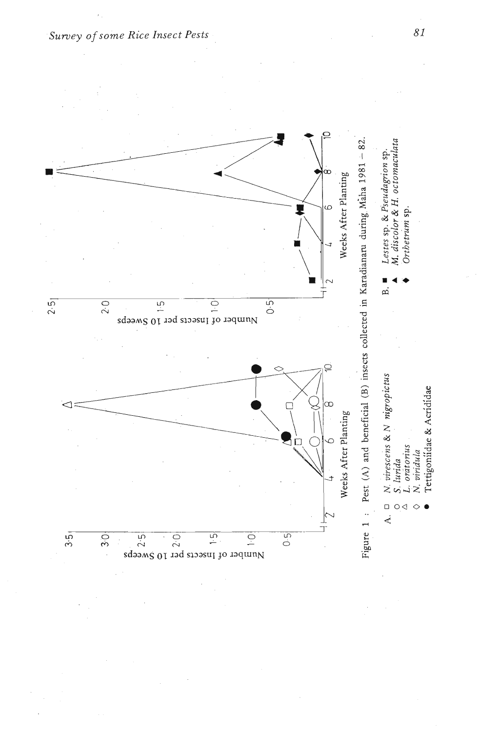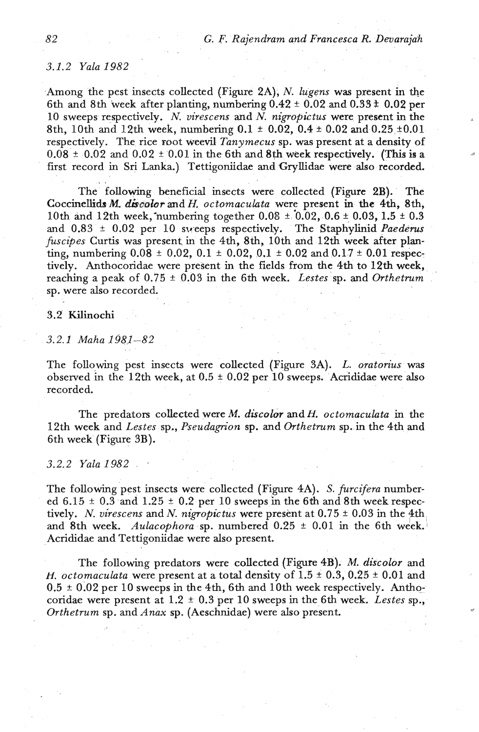# *3.1.2 Yala 1982*

Among the pest insects collected (Figure 2A), N. *lugens* was present in the 6th and 8th week after planting, numbering  $0.42 \pm 0.02$  and  $0.33 \pm 0.02$  per 10 sweeps respectively. N. *virescens* **and** *N. nigropictus* were present in the 8th, 10th and 12th week, numbering  $0.1 \pm 0.02$ ,  $0.4 \pm 0.02$  and  $0.25 \pm 0.01$ respectively. The rice root weevil *Tanymecus* sp. was present at a density of  $0.08 \pm 0.02$  and  $0.02 \pm 0.01$  in the 6th and 8th week respectively. (This is a first record in Sri Lanka.) Tettigoniidae **and** Gryllidae were also recorded. . ,

The following beneficial insects were collected (Figure 2B). The CoccineGdsM. *&cobrandH. octomaculeta* were present in the **4th,** 8th, 10th and 12th week, numbering together  $0.08 \pm 0.02$ ,  $0.6 \pm 0.03$ ,  $1.5 \pm 0.3$ and 0.83 + 0.02 per 10 sweeps respectively. The Staphylinid *Paederus*  fuscipes Curtis was present in the 4th, 8th, 10th and 12th week after planting, numbering  $0.08 \pm 0.02$ ,  $0.1 \pm 0.02$ ,  $0.1 \pm 0.02$  and  $0.17 \pm 0.01$  respectively. Anthocoridae were present in the fields from the 4th to 12th week, reaching a peak of  $0.75 \pm 0.03$  in the 6th week. *Lestes* sp. and *Orthetrum* sp. were also recorded.

## 3.2 Kilinochi

*3.2.1 Maha 1981-82* 

The following pest insects were collected (Figure 3A). *L. oratorius* was observed in the 12th week, at  $0.5 \pm 0.02$  per 10 sweeps. Acrididae were also recorded.

The predators collected were M. *discolor* and *H. octomaculata* in the 12th week and *Lestes* sp., *Pseudagrion* sp. and *Orthetrum* sp. *in* the 4th and 6th week (Figure 3B).

#### *3.2.2 'Yala 1982*

The following pest insects were collected (Figure 4A). *S. furcifera* numbered  $6.15 \pm 0.3$  and  $1.25 \pm 0.2$  per 10 sweeps in the 6th and 8th week respectively. *N. virescens* and *N. nigropictus* were present at  $0.75 \pm 0.03$  in the 4th and 8th week. *Aulacophora* sp. numbered 0.25 ± 0.01 in the 6th week. Acrididae and Tettigoniidae were also present.

The following predators were collected (Figure 4B). M. *discolor* and *H. octomaculata* were present at a total density of  $1.5 \pm 0.3$ ,  $0.25 \pm 0.01$  and 0.5 + 0.02 per 10 sweeps in the 4th, 6th and 10th week respectively. **Antho**coridae were present at  $1.2 \pm 0.3$  per 10 sweeps in the 6th week. *Lestes* sp., *Orthetrum* sp. and *Anax* sp. (Aeschnidae) were also present.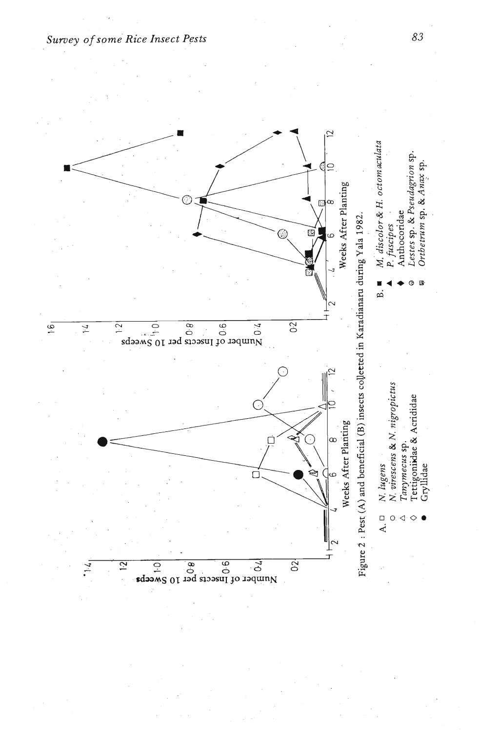

Survey of some Rice Insect Pests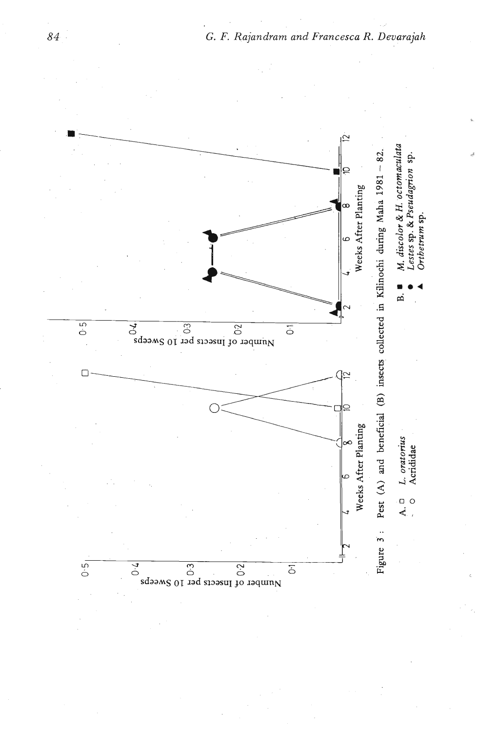

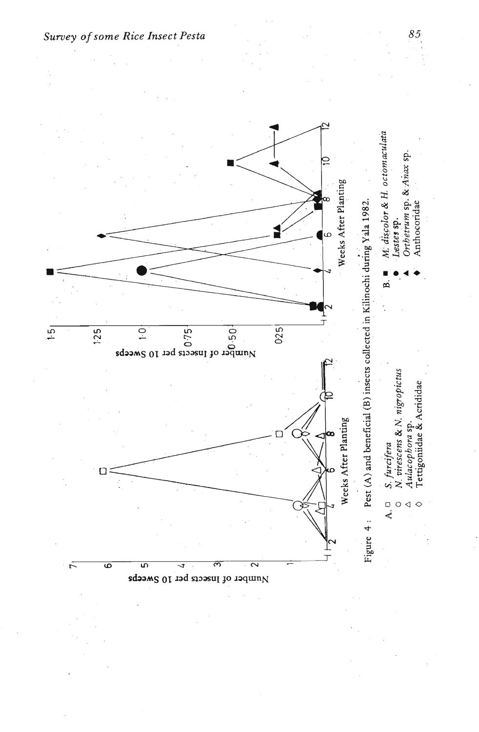

*Survey of some Rice Insect Pesta*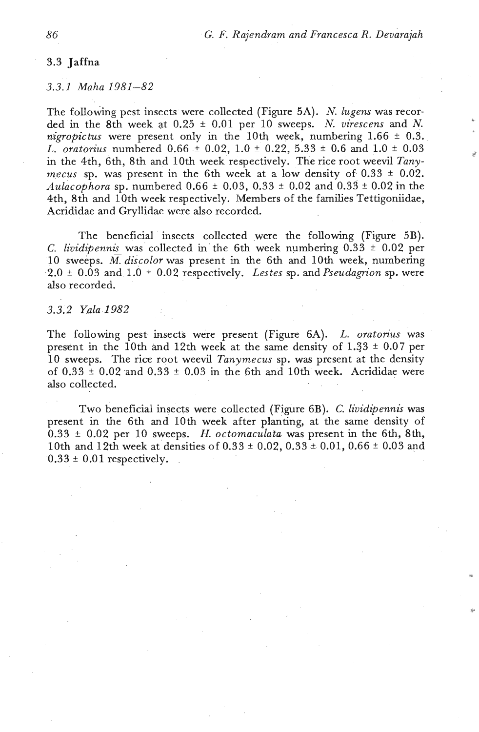## 3.3 Jaffna

#### *3.3.1 Maha 1981-82*

The following pest insects were collected (Figure 5A). N. *lugens* was recorded in the 8th week at  $0.25 \pm 0.01$  per 10 sweeps. N. *virescens* and N. *nigropictus* were present only in the 10th week, numbering  $1.66 \pm 0.3$ . *L. oratorius* numbered 0.66  $\pm$  0.02, 1.0  $\pm$  0.22, 5.33  $\pm$  0.6 and 1.0  $\pm$  0.03 in the 4th, 6th, 8th and 10th week respectively. The rice root weevil *Tanymecus* sp. was present in the 6th week at a low density of  $0.33 \pm 0.02$ . *Aulacophora* sp. numbered 0.66 \* 0.03, 0.33 + 0.02 and 0.33 \* 0.02 in the 4th, 8th and 10th week respectively. Members of the families Tettigoniidae, Acrididae and Gryllidae were also recorded.

The beneficial insects collected were the following (Figure 5B). C. *lividipennis* was collected in the 6th week numbering  $0.33 \pm 0.02$  per 10 sweeps.  $\overline{M}$  discolor was present in the 6th and 10th week, numbering  $2.0 \pm 0.03$  and  $1.0 \pm 0.02$  respectively. *Lestes* sp. and *Pseudagrion* sp. were also recorded.

## *3.3.2 Yala 1982*

The following pest insects were present (Figure 6A). *L. oratorius* was present in the 10th and 12th week at the same density of  $1.33 \pm 0.07$  per 10 sweeps. The rice root weevil *Tanymecus* sp. was present at the density of  $0.33 \pm 0.02$  and  $0.33 \pm 0.03$  in the 6th and 10th week. Acrididae were also collected.

Two beneficial insects were collected (Figure 6B). C. *lividipennis* was present in the 6th and 10th week after planting, at the same density of 0.33 + 0.02 per 10 sweeps. H. *octomaculata* was present in the 6th, 8th, 10th and 12th week at densities of  $0.33 \pm 0.02$ ,  $0.33 \pm 0.01$ ,  $0.66 \pm 0.03$  and  $0.33 \pm 0.01$  respectively.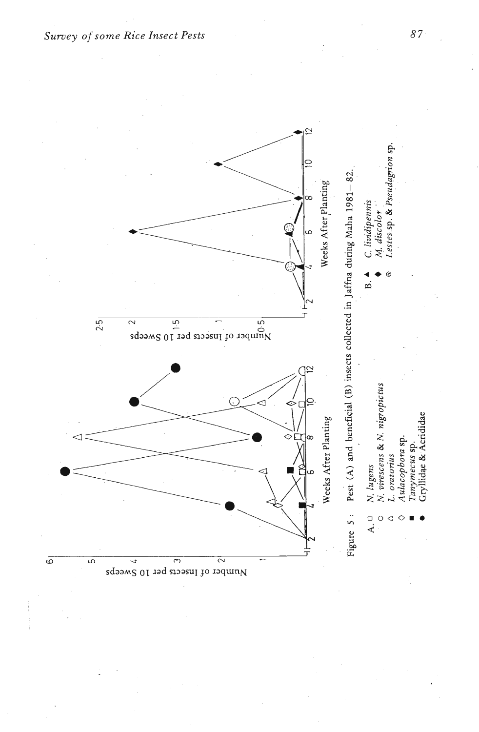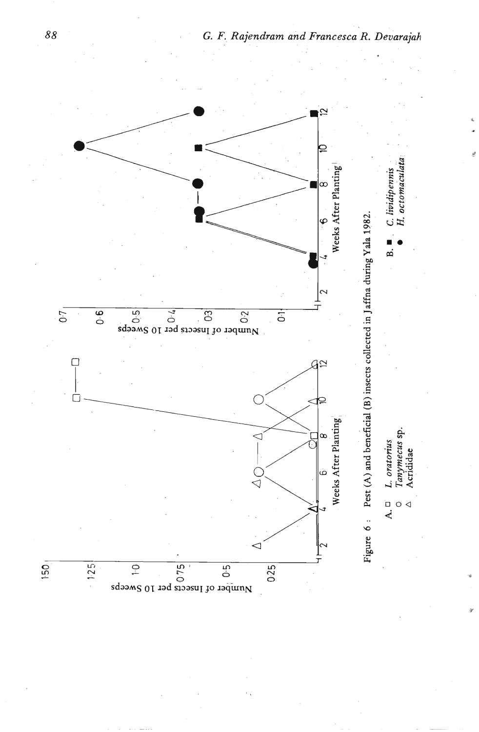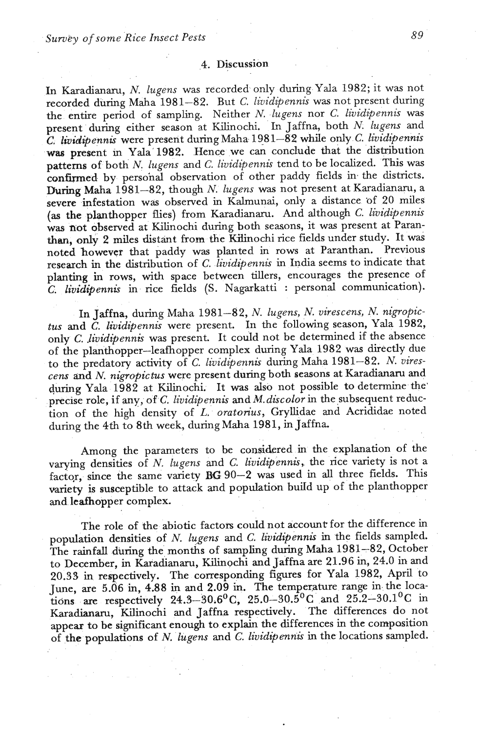In Karadianaru, N. *lugens* was recorded only during Yala 1982; it was not recorded during Maha 1981-82. But C. lividipennis was not present during the entire period of sampling. Neither *N. lugens* nor *C. lividipennis* was present during either season at Kilinochi. In Jaffna, both N. *lugens* and *C, lividipennis* were present during Maha 198 1-82 while only *C. lividipennis*  was present m Yala' 1982. Hence we can conclude that the distribution patterns of both *N. lugens* and C. *lividipennis* tend to be localized. This was confirmed by perso'nal observation of other paddy fields **in** the districts. During Maha 1981-82, though N. *lugens* was not present at Karadianaru, a severe infestation was observed in Kalmunai, only a distance of 20 miles (as the planthopper flies) from Karadianaru. And although C. *lividipennis* was not observed at Kilinochi during both seasons, it was present at Paranthan, only 2 miles distant from the Kilinochi rice fields under study. It was noted however that paddy was planted in rows at Paranthan. Previous research in the distribution of C. *lividipennis* **in** India seems to indicate that planting in rows, with space between tillers, encourages the presence of C. *lividipennis* in rice fields (S. Nagarkatti : personal communication).

In Jaffna, during Maha 1981-82, N. *lugens,* N. *virescens, N. nigropictus* and *C. lividipennis* were present. In the following season, Yala 1982, only C. *lividipennis* was present. It could not be determined if the absence of the planthopper-leafhopper complex during Yala 1982 was directly due to the predatory activity of C. *lividipennis* during Maha 1981-82. N. *virescens and N. nigopictus* were present **during** both seasons at Karadianaru and during Yala 1982 at Kilinochi. It was also not possible to determine the' precise role, if any, of *C. lividipennis* and *M. discolor* in the subsequent reduction of the high density of L. *oratorius*, Gryllidae and Acrididae noted during the 4th to 8th week, during Maha 1981, in Jaffna

Among the parameters to be considered in the explanation of the varying densities of *N. lugens* and *C. lividipennis*, the rice variety is not a factor, since the same variety BG 90-2 was used in all three fields. This variety is susceptible to attack and population build up of the planthopper and leafhopper complex.

The role of the abiotic factors could not account for the difference in population densities of N. *lugens* **and** *C. lividipennis* in the fields sampled. The rainfall during the months of sampling during Maha 1981-82, October to December, in Karadianaru, Kilinochi and Jaffna are 21.96 in, 24.0 in and 20.33 in respectively. The corresponding figures for Yala 1982, April to June, are 5.06 in, 4.88 **in** and 2.09 **in.** The temperature range in the locations are respectively 24.3-30.6<sup>o</sup>C, 25.0-30.5<sup>o</sup>C and 25.2-30.1<sup>o</sup>C in Karadianaru, Kilinochi and Jaffna respectively. The differences do not appear to be significant enough to explain the differences in the cornpasition of the populations of N. *lugens* and C. *lividipennis* in the locations sampled.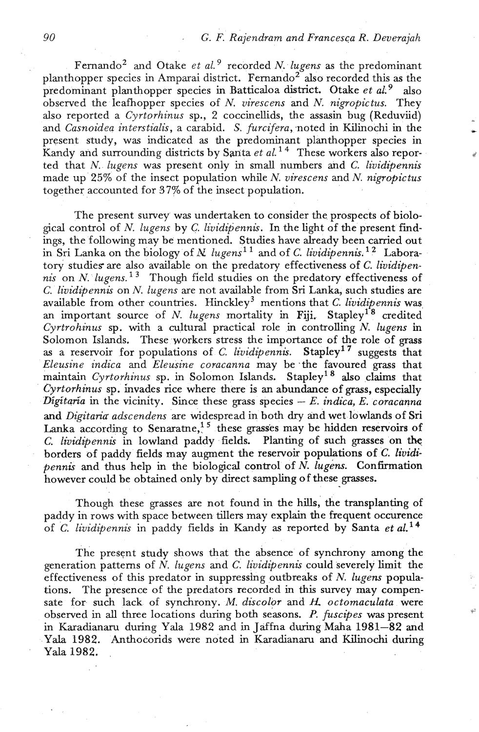Fernando<sup>2</sup> and Otake *et al.*<sup>9</sup> recorded *N. lugens* as the predominant planthopper species in Amparai district. Fernando<sup>2</sup> also recorded this as the predominant planthopper species in Batticaloa district. Otake *et aL9* also observed the leafhopper species of *N, virescens* and *N. nigropictus.* They also reported a *Cyrtorhinus* sp., 2 coccinellids, the assasin bug (Reduviid) and *Casnoidea interstialis*, a carabid. *S. furcifera*, noted in Kilinochi in the present study, was indicated **as** the predominant planthopper species in Kandy and surrounding districts by Santa *et al.*<sup>14</sup> These workers also reported that N. *lugens* was present only in small numbers and *C. lividipennis*  made up 25% of the insect population while N. *uirescens* and *N. nigropictus*  together accounted for 37% of the insect population.

The present survey was undertaken to consider the prospects of bioloeical control of *N. lugens* by *C. lividipennis*. In the light of the present findings, the following may be mentioned. Studies have already been carried out in Sri Lanka on the biology of *N lugens*<sup>11</sup> and of *C. lividipennis.*<sup>12</sup> Laboratory studies are also available on the predatory effectiveness of C. *lividipennis* on *N. lugens.*<sup>13</sup> Though field studies on the predatory effectiveness of *C. lividipennis* on *N. lugens* are not available from **Sri** Lanka, such studies are available from other countries. Hinckley<sup>3</sup> mentions that C. lividipennis was an important source of N. *lugens* mortality in Fiji. Stapley<sup>1'8</sup> credited *Cyrtrohinus* sp. with a cultural practical role in controlling *N. lugens* in Solomon Islands. These workers stress the importance of the role of grass as a reservoir for populations of *C. lividipennis.* stapley'' suggests that *Eleusine indica* and *Eleusine coracanna* may be -the favoured grass that maintain *Cyrtorhinus* sp. in Solomon Islands. Stapley<sup>18</sup> also claims that *Cyrtorhinus* sp. invades rice where there is an abundance of grass, especialIy *Digitaria* in the vicinity. Since these grass species - *E. indica, E. coracanna*  **and** *Digitaria adscendens* are widespread in both dry and wet lowlands of Sri Lanka according to Senaratne,  $15$  these grasses may be hidden reservoirs of *C. lividipennis* in lowland paddy fields. Planting of such grasses on the borders of paddy fields may augment the reservoir populations of *C.* lividi*pennis* and thus help in the biological control of N. *lugens.* Confirmation however could be obtained only by direct sampling of these grasses.

Though these grasses are not found in the hills, the transplanting of paddy in rows with space between tillers may explain the frequent occurence of *C. lividipennis* in paddy fields in Kandy as reported by Santa *et a1.l4* 

The present study shows that the absence of synchrony among the generation patterns of *N. lugens* and C. *lividipennis* could severely limit the effectiveness of this predator in suppresshg outbreaks of *N. lugens* populations. The presence of the predators recorded in this survey may compensate for such lack of synchrony. M. *discolor* and *H, octomaculata* were observed in all three locations during both seasons. *P. fuscipes* was present in Karadianaru during Yala 1982 and in Jaffna during Maha 1981-82 **and**  Yala 1982. Anthocorids were noted in Karadianaru and Kilinochi during Yala 1982.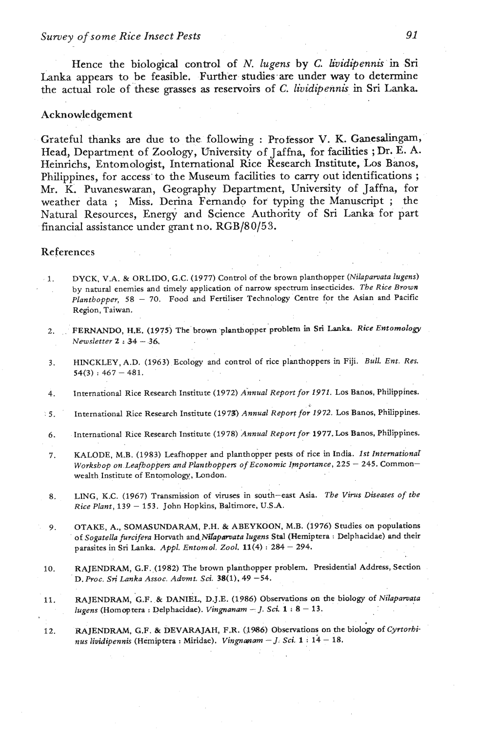# *Survey of some* **Rice** *Insect Pests* **91**

Hence the biological control of *N. lugens* by *C. lividipennis* in Sri Lanka appears to be feasible. Further studies are under way to determine the actual role of these grasses as reservoirs of *C. lividipennis* in Sri Lanka.

## Acknowledgement

Grateful thanks are due to the following : Professor **V.** K. Ganesalingam, Head, Department of Zoology, University of Jaffna, for facilities ; Dr. **E. A.**  Heinrichs, Entomologist, International Rice Research Institute, Los Banos, Philippines, for access to the Museum facilities to carry out identifications : Mr. K. Puvaneswaran, Geography Department, University of Jaffna, for weather data ; Miss. Derina Fernando for typing the Manuscript ; the Natural Resources, Energy and Science Authority of **Sri** Lanka for part financial assistance under grant no. RGB/80/53.

## References

- **1.** DYCK, V.A. & ORLIDO, G.C. (1977) Control of the brown planthopper *(Nilapawata lugens)*  by natural enemies and timely application of narrow spectrum insecticides. *The Rice Brown*  Planthopper, 58 - 70. Food and Fertiliser Technology Centre for the Asian and Pacific Region, Taiwan.
- 2. FERNANDO, H.E. (1975) The brown planthopper problem in Sri Lanka. *Rice Entomology Newsletter* **2** : **34 36.**
- 3. **HINCKLEY, A.D.** (1963) Ecology and control of rice planthoppers in Fiji. *Bull. Ent. Res.*  $54(3) : 467 - 481.$
- 4. International Rice Research Institute (1972) *Annual Report for 1971*. Los Banos, Philippines.
- . 5. International Rice Research Institute (1973) *Annual Report for* 1972. Los Banos, Philippines.
- 6. -International Rice Research Institute (1978) *Annual Report for.* 1977. Los Banos, Philippines.
- 7. KALODE, M.B. (1983) Leafhopper and planthopper pests of rice in India. *1st Intemationar Workshop on Leafhoppers and Planthoppers of Economic Importance, 225 - 245.* Commonwealth Institute of Entomology, London.
- 8. LING, K.C. (1967) Transmission of viruses in south-east Asia. The Virus Diseases of the *Rice Plant,* <sup>139</sup>- 153. John Hopkins, Baltimore, U.S.A.
- 9. OTAKE, A., SOMASUNDARAM, P.H. & ABEYKOON, M.B. (1976) Studies on populations of *Sogatella furcifera* Horvath and,Mapmata *lugens* **Std** (Hemiptera : Delphaeidae) and their parasites in Sri Lanka. *Appl. Entomol. 2001.* 11(4) : 284 - 294.
- **10.** RAJENDRAM, G.F. (1982) The brown planthopper problem. Presidential Address, Section D. *Proc.* **Sri** *Lanka Assoc Advmt. Sd.* 38(1), 49 *-54.*
- 11. RAJENDRAM, G.F. & DANIEL, D.J.E. (1986) Observations on the biology of *Nilaparvqta lugens* (Homoptera : Delphacidse). *Vingnanam* - *J.* **Sci.** 1 : 8 - 13.
- 12. RAJENDRAM, G.F. & DEVARAJAH, F.R. (1986) Observations on the biology of *Cyrtorbinus lividipennis* (Hemiptera : Miridae). *Vingnanam* J. *Sci.* **1** : 14 18.